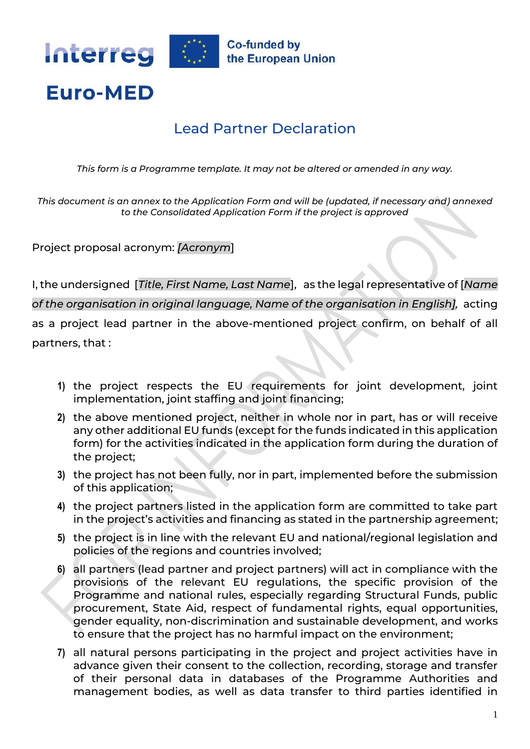

## Lead Partner Declaration

*This form is a Programme template. It may not be altered or amended in any way.*

*This document is an annex to the Application Form and will be (updated, if necessary and) annexed to the Consolidated Application Form if the project is approved*

Project proposal acronym: *[Acronym*]

**Euro-MED** 

I, the undersigned [*Title, First Name, Last Name*], as the legal representative of [*Name of the organisation in original language, Name of the organisation in English],* acting as a project lead partner in the above-mentioned project confirm, on behalf of all partners, that :

- **1)** the project respects the EU requirements for joint development, joint implementation, joint staffing and joint financing;
- **2)** the above mentioned project, neither in whole nor in part, has or will receive any other additional EU funds (except for the funds indicated in this application form) for the activities indicated in the application form during the duration of the project;
- **3)** the project has not been fully, nor in part, implemented before the submission of this application;
- **4)** the project partners listed in the application form are committed to take part in the project's activities and financing as stated in the partnership agreement;
- **5)** the project is in line with the relevant EU and national/regional legislation and policies of the regions and countries involved;
- **6)** all partners (lead partner and project partners) will act in compliance with the provisions of the relevant EU regulations, the specific provision of the Programme and national rules, especially regarding Structural Funds, public procurement, State Aid, respect of fundamental rights, equal opportunities, gender equality, non-discrimination and sustainable development, and works to ensure that the project has no harmful impact on the environment;
- **7)** all natural persons participating in the project and project activities have in advance given their consent to the collection, recording, storage and transfer of their personal data in databases of the Programme Authorities and management bodies, as well as data transfer to third parties identified in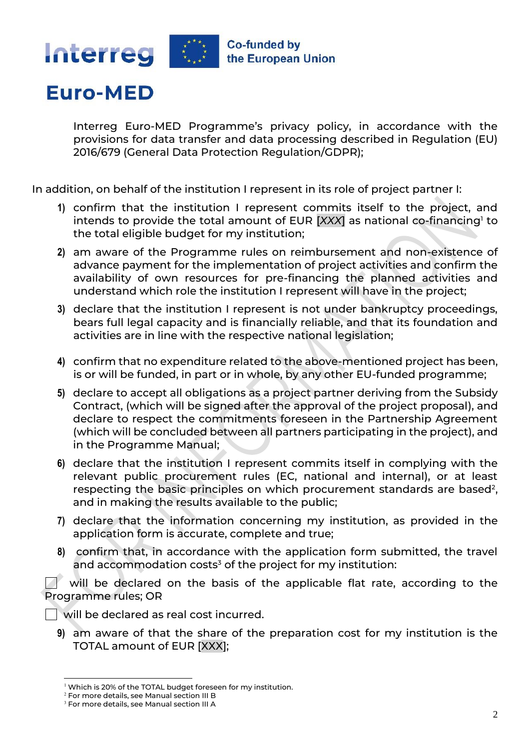

## **Euro-MED**

Interreg Euro-MED Programme's privacy policy, in accordance with the provisions for data transfer and data processing described in Regulation (EU) 2016/679 (General Data Protection Regulation/GDPR);

In addition, on behalf of the institution I represent in its role of project partner I:

- **1)** confirm that the institution I represent commits itself to the project, and intends to provide the total amount of EUR [XXX] as national co-financing<sup>1</sup> to the total eligible budget for my institution;
- **2)** am aware of the Programme rules on reimbursement and non-existence of advance payment for the implementation of project activities and confirm the availability of own resources for pre-financing the planned activities and understand which role the institution I represent will have in the project;
- **3)** declare that the institution I represent is not under bankruptcy proceedings, bears full legal capacity and is financially reliable, and that its foundation and activities are in line with the respective national legislation;
- **4)** confirm that no expenditure related to the above-mentioned project has been, is or will be funded, in part or in whole, by any other EU-funded programme;
- **5)** declare to accept all obligations as a project partner deriving from the Subsidy Contract, (which will be signed after the approval of the project proposal), and declare to respect the commitments foreseen in the Partnership Agreement (which will be concluded between all partners participating in the project), and in the Programme Manual;
- **6)** declare that the institution I represent commits itself in complying with the relevant public procurement rules (EC, national and internal), or at least respecting the basic principles on which procurement standards are based<sup>2</sup>, and in making the results available to the public;
- **7)** declare that the information concerning my institution, as provided in the application form is accurate, complete and true;
- **8)** confirm that, in accordance with the application form submitted, the travel and accommodation costs<sup>3</sup> of the project for my institution:

will be declared on the basis of the applicable flat rate, according to the Programme rules; OR

- Will be declared as real cost incurred.
	- **9)** am aware of that the share of the preparation cost for my institution is the TOTAL amount of EUR [XXX];

<sup>&</sup>lt;sup>1</sup> Which is 20% of the TOTAL budget foreseen for my institution.

<sup>2</sup> For more details, see Manual section III B

<sup>&</sup>lt;sup>3</sup> For more details, see Manual section III A